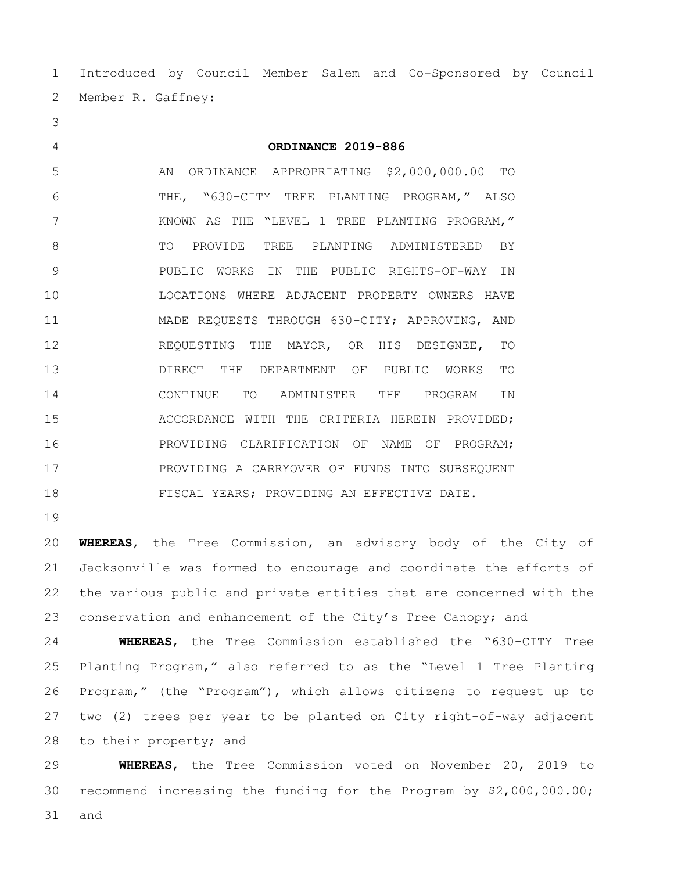Introduced by Council Member Salem and Co-Sponsored by Council 2 | Member R. Gaffney:

**ORDINANCE 2019-886**

5 AN ORDINANCE APPROPRIATING \$2,000,000.00 TO THE, "630-CITY TREE PLANTING PROGRAM," ALSO KNOWN AS THE "LEVEL 1 TREE PLANTING PROGRAM," 8 TO PROVIDE TREE PLANTING ADMINISTERED BY PUBLIC WORKS IN THE PUBLIC RIGHTS-OF-WAY IN LOCATIONS WHERE ADJACENT PROPERTY OWNERS HAVE MADE REQUESTS THROUGH 630-CITY; APPROVING, AND REQUESTING THE MAYOR, OR HIS DESIGNEE, TO DIRECT THE DEPARTMENT OF PUBLIC WORKS TO CONTINUE TO ADMINISTER THE PROGRAM IN 15 ACCORDANCE WITH THE CRITERIA HEREIN PROVIDED; PROVIDING CLARIFICATION OF NAME OF PROGRAM; 17 PROVIDING A CARRYOVER OF FUNDS INTO SUBSEQUENT 18 FISCAL YEARS; PROVIDING AN EFFECTIVE DATE.

 **WHEREAS**, the Tree Commission, an advisory body of the City of Jacksonville was formed to encourage and coordinate the efforts of the various public and private entities that are concerned with the 23 conservation and enhancement of the City's Tree Canopy; and

 **WHEREAS**, the Tree Commission established the "630-CITY Tree Planting Program," also referred to as the "Level 1 Tree Planting Program," (the "Program"), which allows citizens to request up to two (2) trees per year to be planted on City right-of-way adjacent 28 to their property; and

 **WHEREAS**, the Tree Commission voted on November 20, 2019 to recommend increasing the funding for the Program by \$2,000,000.00; and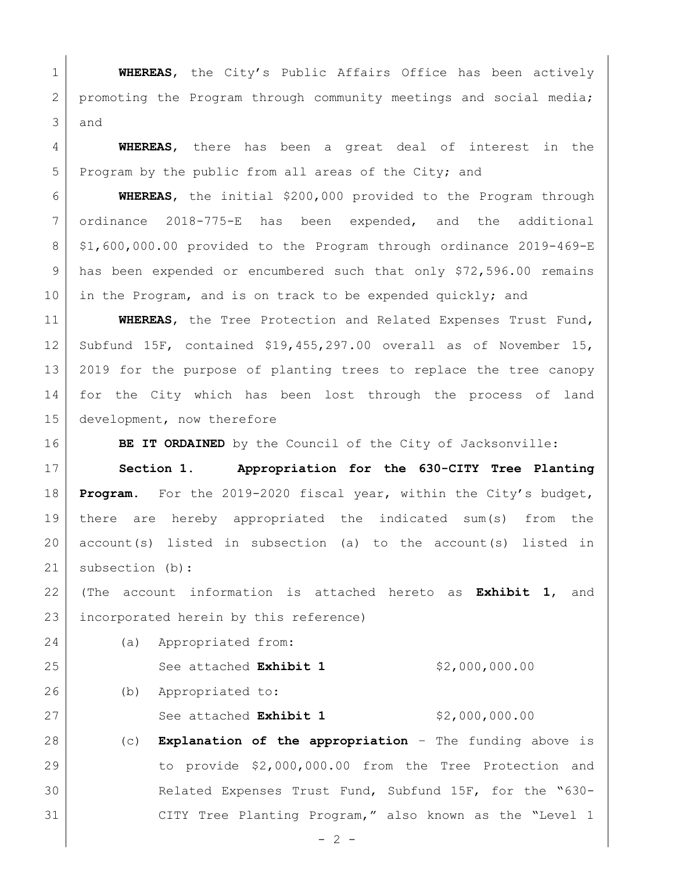**WHEREAS**, the City's Public Affairs Office has been actively 2 promoting the Program through community meetings and social media; and

 **WHEREAS**, there has been a great deal of interest in the 5 Program by the public from all areas of the City; and

 **WHEREAS**, the initial \$200,000 provided to the Program through ordinance 2018-775-E has been expended, and the additional \$1,600,000.00 provided to the Program through ordinance 2019-469-E has been expended or encumbered such that only \$72,596.00 remains 10 in the Program, and is on track to be expended quickly; and

 **WHEREAS**, the Tree Protection and Related Expenses Trust Fund, Subfund 15F, contained \$19,455,297.00 overall as of November 15, 2019 for the purpose of planting trees to replace the tree canopy for the City which has been lost through the process of land development, now therefore

**BE IT ORDAINED** by the Council of the City of Jacksonville:

 **Section 1. Appropriation for the 630-CITY Tree Planting Program.** For the 2019-2020 fiscal year, within the City's budget, there are hereby appropriated the indicated sum(s) from the account(s) listed in subsection (a) to the account(s) listed in subsection (b):

 (The account information is attached hereto as **Exhibit 1**, and incorporated herein by this reference)

 See attached **Exhibit 1** \$2,000,000.00 (b) Appropriated to: 27 See attached **Exhibit 1** \$2,000,000.00 (c) **Explanation of the appropriation** – The funding above is to provide \$2,000,000.00 from the Tree Protection and Related Expenses Trust Fund, Subfund 15F, for the "630-

(a) Appropriated from:

 $- 2 -$ 

CITY Tree Planting Program," also known as the "Level 1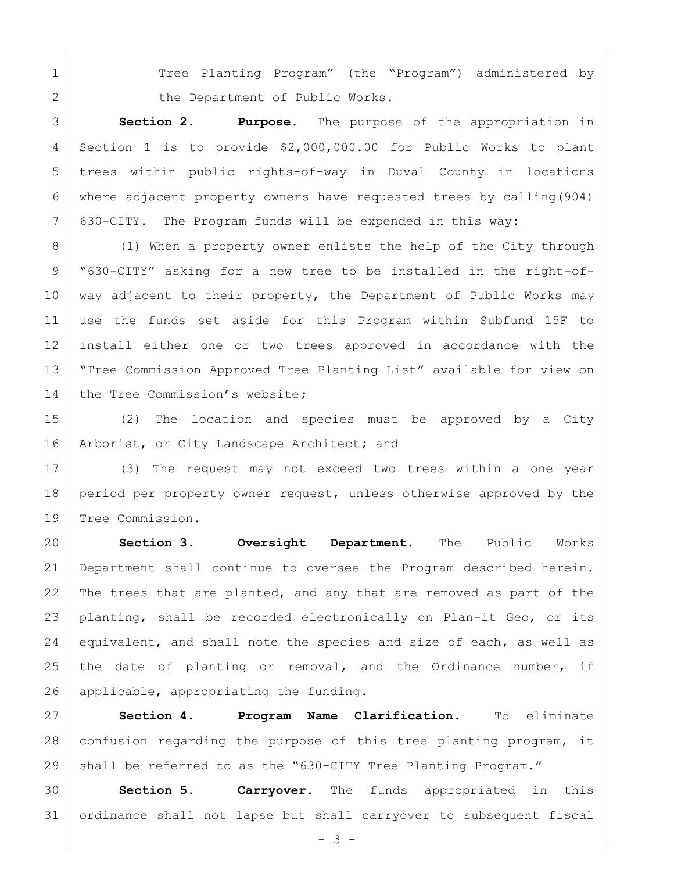1 | Tree Planting Program" (the "Program") administered by 2 the Department of Public Works.

 **Section 2. Purpose.** The purpose of the appropriation in Section 1 is to provide \$2,000,000.00 for Public Works to plant trees within public rights-of-way in Duval County in locations where adjacent property owners have requested trees by calling(904) 630-CITY. The Program funds will be expended in this way:

8 (1) When a property owner enlists the help of the City through "630-CITY" asking for a new tree to be installed in the right-of- way adjacent to their property, the Department of Public Works may use the funds set aside for this Program within Subfund 15F to install either one or two trees approved in accordance with the "Tree Commission Approved Tree Planting List" available for view on the Tree Commission's website**;**

 (2) The location and species must be approved by a City Arborist, or City Landscape Architect**;** and

 (3) The request may not exceed two trees within a one year period per property owner request, unless otherwise approved by the Tree Commission.

 **Section 3. Oversight Department.** The Public Works Department shall continue to oversee the Program described herein. 22 The trees that are planted, and any that are removed as part of the 23 | planting, shall be recorded electronically on Plan-it Geo, or its 24 equivalent, and shall note the species and size of each, as well as 25 | the date of planting or removal, and the Ordinance number, if 26 applicable, appropriating the funding.

 **Section 4. Program Name Clarification**. To eliminate confusion regarding the purpose of this tree planting program, it shall be referred to as the "630-CITY Tree Planting Program."

 **Section 5. Carryover.** The funds appropriated in this ordinance shall not lapse but shall carryover to subsequent fiscal

- 3 -